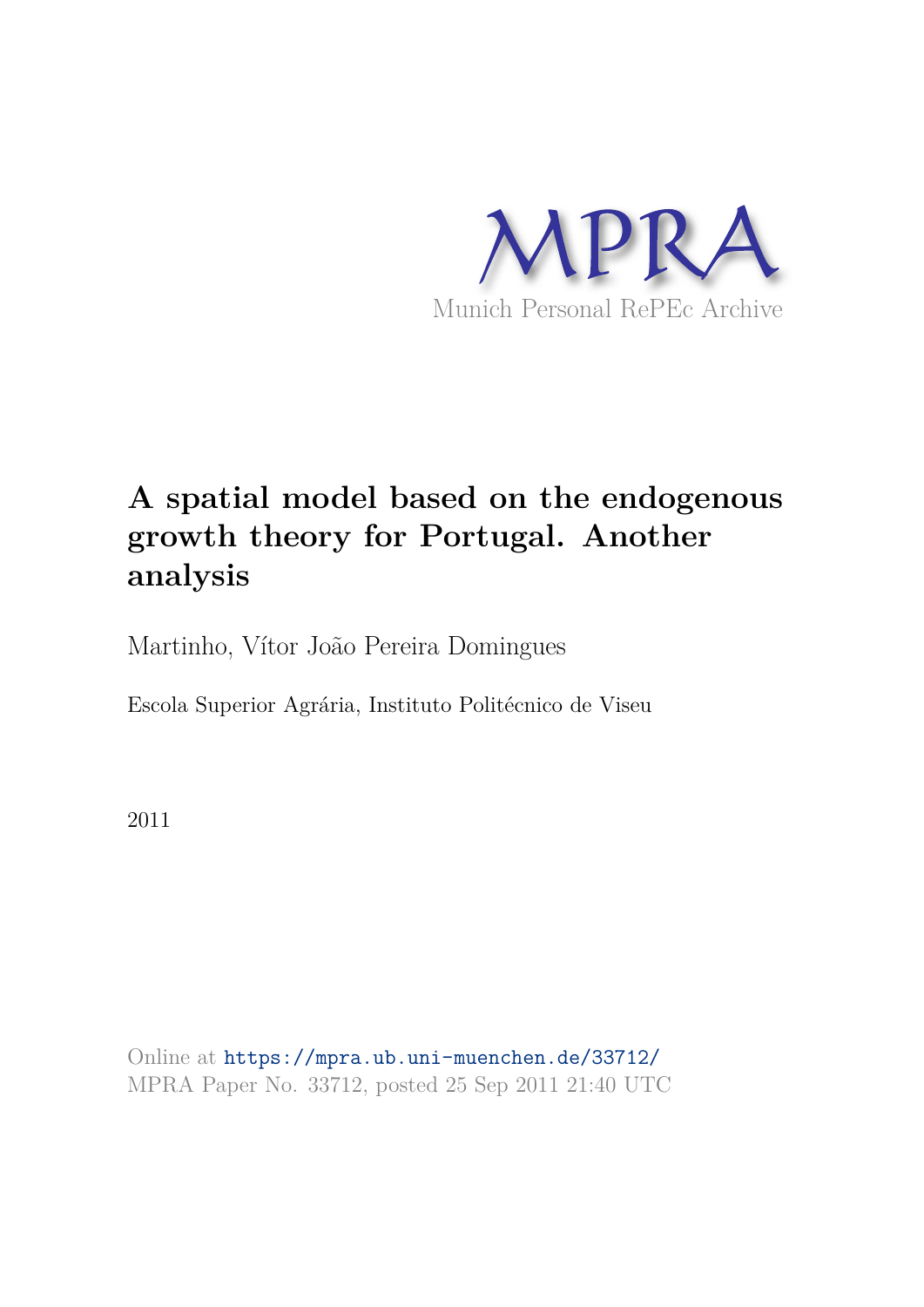

# **A spatial model based on the endogenous growth theory for Portugal. Another analysis**

Martinho, Vítor João Pereira Domingues

Escola Superior Agrária, Instituto Politécnico de Viseu

2011

Online at https://mpra.ub.uni-muenchen.de/33712/ MPRA Paper No. 33712, posted 25 Sep 2011 21:40 UTC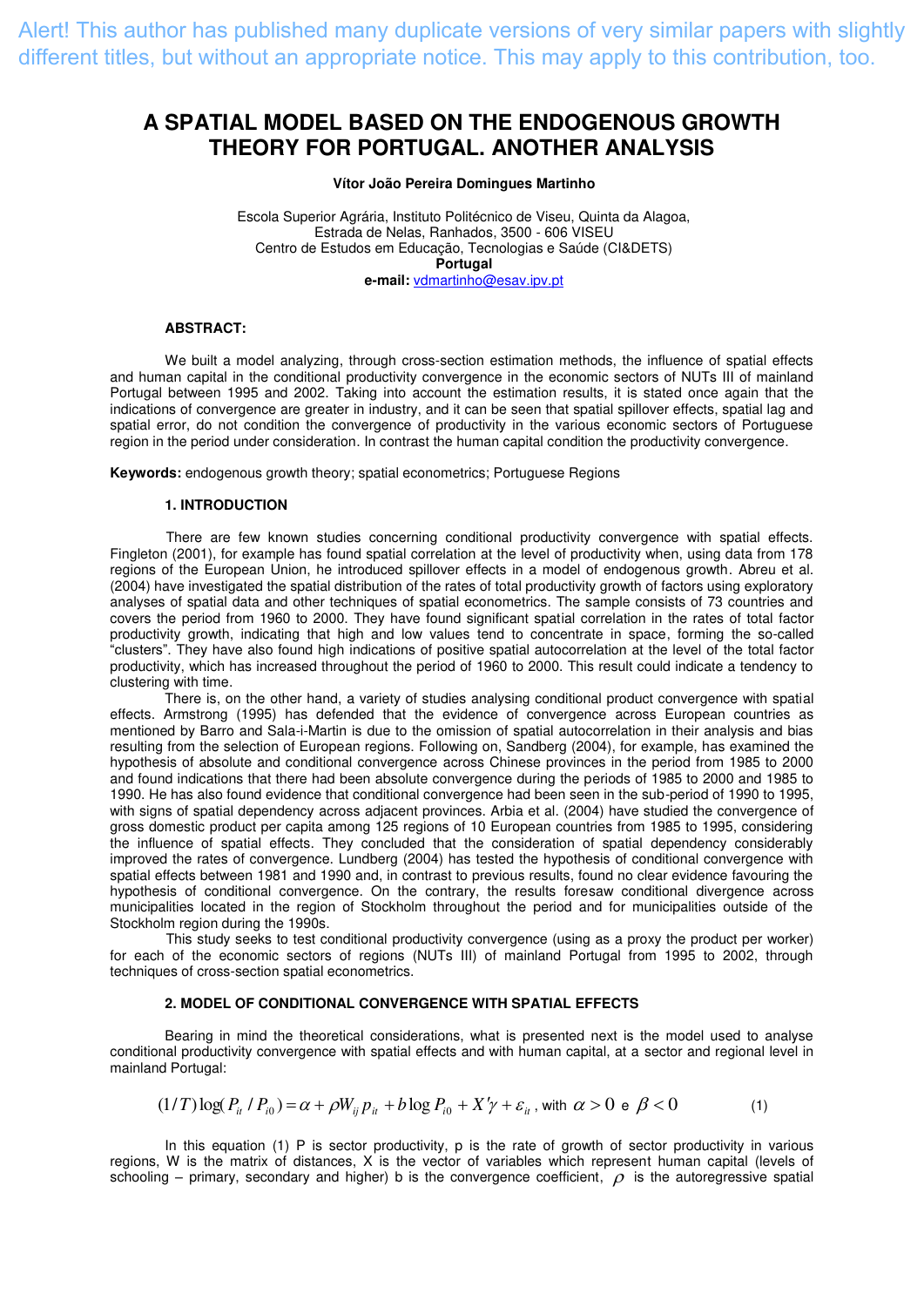Alert! This author has published many duplicate versions of very similar papers with slightly different titles, but without an appropriate notice. This may apply to this contribution, too.

# **A SPATIAL MODEL BASED ON THE ENDOGENOUS GROWTH THEORY FOR PORTUGAL. ANOTHER ANALYSIS**

### **Vítor João Pereira Domingues Martinho**

Escola Superior Agrária, Instituto Politécnico de Viseu, Quinta da Alagoa, Estrada de Nelas, Ranhados, 3500 - 606 VISEU Centro de Estudos em Educação, Tecnologias e Saúde (CI&DETS) **Portugal e-mail:** [vdmartinho@esav.ipv.pt](mailto:vdmartinho@esav.ipv.pt) 

#### **ABSTRACT:**

We built a model analyzing, through cross-section estimation methods, the influence of spatial effects and human capital in the conditional productivity convergence in the economic sectors of NUTs III of mainland Portugal between 1995 and 2002. Taking into account the estimation results, it is stated once again that the indications of convergence are greater in industry, and it can be seen that spatial spillover effects, spatial lag and spatial error, do not condition the convergence of productivity in the various economic sectors of Portuguese region in the period under consideration. In contrast the human capital condition the productivity convergence.

**Keywords:** endogenous growth theory; spatial econometrics; Portuguese Regions

#### **1. INTRODUCTION**

There are few known studies concerning conditional productivity convergence with spatial effects. Fingleton (2001), for example has found spatial correlation at the level of productivity when, using data from 178 regions of the European Union, he introduced spillover effects in a model of endogenous growth. Abreu et al. (2004) have investigated the spatial distribution of the rates of total productivity growth of factors using exploratory analyses of spatial data and other techniques of spatial econometrics. The sample consists of 73 countries and covers the period from 1960 to 2000. They have found significant spatial correlation in the rates of total factor productivity growth, indicating that high and low values tend to concentrate in space, forming the so-called "clusters". They have also found high indications of positive spatial autocorrelation at the level of the total factor productivity, which has increased throughout the period of 1960 to 2000. This result could indicate a tendency to clustering with time.

There is, on the other hand, a variety of studies analysing conditional product convergence with spatial effects. Armstrong (1995) has defended that the evidence of convergence across European countries as mentioned by Barro and Sala-i-Martin is due to the omission of spatial autocorrelation in their analysis and bias resulting from the selection of European regions. Following on, Sandberg (2004), for example, has examined the hypothesis of absolute and conditional convergence across Chinese provinces in the period from 1985 to 2000 and found indications that there had been absolute convergence during the periods of 1985 to 2000 and 1985 to 1990. He has also found evidence that conditional convergence had been seen in the sub-period of 1990 to 1995, with signs of spatial dependency across adjacent provinces. Arbia et al. (2004) have studied the convergence of gross domestic product per capita among 125 regions of 10 European countries from 1985 to 1995, considering the influence of spatial effects. They concluded that the consideration of spatial dependency considerably improved the rates of convergence. Lundberg (2004) has tested the hypothesis of conditional convergence with spatial effects between 1981 and 1990 and, in contrast to previous results, found no clear evidence favouring the hypothesis of conditional convergence. On the contrary, the results foresaw conditional divergence across municipalities located in the region of Stockholm throughout the period and for municipalities outside of the Stockholm region during the 1990s.

This study seeks to test conditional productivity convergence (using as a proxy the product per worker) for each of the economic sectors of regions (NUTs III) of mainland Portugal from 1995 to 2002, through techniques of cross-section spatial econometrics.

# **2. MODEL OF CONDITIONAL CONVERGENCE WITH SPATIAL EFFECTS**

 Bearing in mind the theoretical considerations, what is presented next is the model used to analyse conditional productivity convergence with spatial effects and with human capital, at a sector and regional level in mainland Portugal:

$$
(1/T)\log(P_{ii} \nmid P_{i0}) = \alpha + \rho W_{ij} \cdot P_{ii} + b \log P_{i0} + X'\gamma + \varepsilon_{ii}
$$
, with  $\alpha > 0$  e  $\beta < 0$  (1)

In this equation (1) P is sector productivity, p is the rate of growth of sector productivity in various regions, W is the matrix of distances, X is the vector of variables which represent human capital (levels of schooling – primary, secondary and higher) b is the convergence coefficient,  $\rho$  is the autoregressive spatial